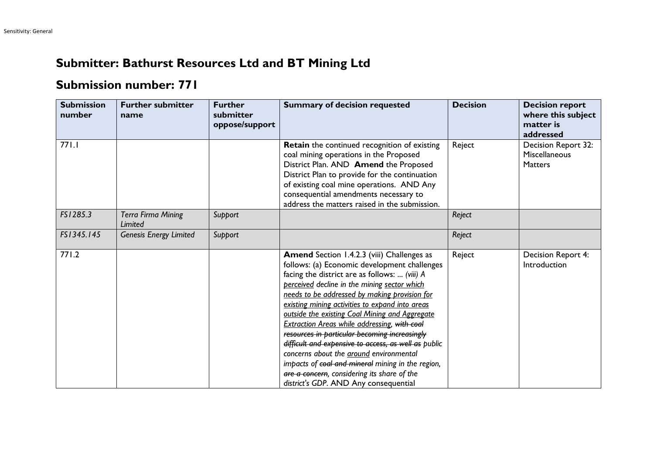## **Submitter: Bathurst Resources Ltd and BT Mining Ltd**

## **Submission number: 771**

| <b>Submission</b><br>number | <b>Further submitter</b><br>name     | <b>Further</b><br>submitter<br>oppose/support | <b>Summary of decision requested</b>                                                                                                                                                                                                                                                                                                                                                                                                                                                                                                                                                                                                                                                                             | <b>Decision</b> | <b>Decision report</b><br>where this subject<br>matter is<br>addressed |
|-----------------------------|--------------------------------------|-----------------------------------------------|------------------------------------------------------------------------------------------------------------------------------------------------------------------------------------------------------------------------------------------------------------------------------------------------------------------------------------------------------------------------------------------------------------------------------------------------------------------------------------------------------------------------------------------------------------------------------------------------------------------------------------------------------------------------------------------------------------------|-----------------|------------------------------------------------------------------------|
| 771.1                       |                                      |                                               | Retain the continued recognition of existing<br>coal mining operations in the Proposed<br>District Plan. AND Amend the Proposed<br>District Plan to provide for the continuation<br>of existing coal mine operations. AND Any<br>consequential amendments necessary to<br>address the matters raised in the submission.                                                                                                                                                                                                                                                                                                                                                                                          | Reject          | Decision Report 32:<br>Miscellaneous<br><b>Matters</b>                 |
| FS1285.3                    | <b>Terra Firma Mining</b><br>Limited | Support                                       |                                                                                                                                                                                                                                                                                                                                                                                                                                                                                                                                                                                                                                                                                                                  | Reject          |                                                                        |
| FS1345.145                  | <b>Genesis Energy Limited</b>        | Support                                       |                                                                                                                                                                                                                                                                                                                                                                                                                                                                                                                                                                                                                                                                                                                  | Reject          |                                                                        |
| 771.2                       |                                      |                                               | <b>Amend</b> Section 1.4.2.3 (viii) Challenges as<br>follows: (a) Economic development challenges<br>facing the district are as follows:  (viii) A<br>perceived decline in the mining sector which<br>needs to be addressed by making provision for<br>existing mining activities to expand into areas<br>outside the existing Coal Mining and Aggregate<br><b>Extraction Areas while addressing, with coal</b><br>resources in particular becoming increasingly<br>difficult and expensive to access, as well as public<br>concerns about the around environmental<br>impacts of coal and mineral mining in the region,<br>are a concern, considering its share of the<br>district's GDP. AND Any consequential | Reject          | Decision Report 4:<br>Introduction                                     |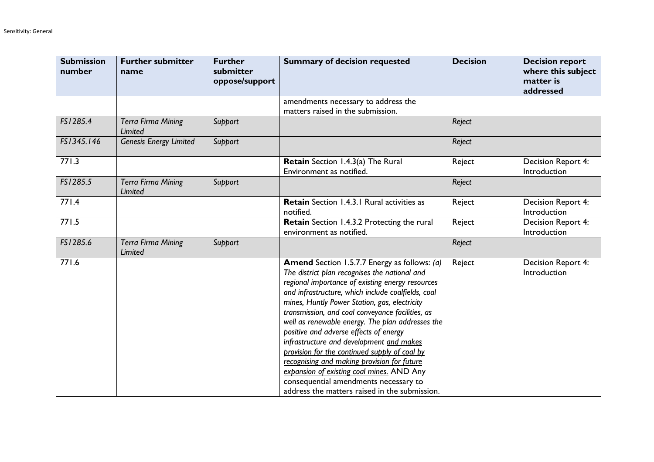| <b>Submission</b><br>number | <b>Further submitter</b><br>name            | <b>Further</b><br>submitter<br>oppose/support | <b>Summary of decision requested</b>                                                                                                                                                                                                                                                                                                                                                                                                                                                                                                                                                                                                                                                                 | <b>Decision</b> | <b>Decision report</b><br>where this subject<br>matter is<br>addressed |
|-----------------------------|---------------------------------------------|-----------------------------------------------|------------------------------------------------------------------------------------------------------------------------------------------------------------------------------------------------------------------------------------------------------------------------------------------------------------------------------------------------------------------------------------------------------------------------------------------------------------------------------------------------------------------------------------------------------------------------------------------------------------------------------------------------------------------------------------------------------|-----------------|------------------------------------------------------------------------|
|                             |                                             |                                               | amendments necessary to address the<br>matters raised in the submission.                                                                                                                                                                                                                                                                                                                                                                                                                                                                                                                                                                                                                             |                 |                                                                        |
| FS1285.4                    | <b>Terra Firma Mining</b><br><b>Limited</b> | Support                                       |                                                                                                                                                                                                                                                                                                                                                                                                                                                                                                                                                                                                                                                                                                      | Reject          |                                                                        |
| FS1345.146                  | <b>Genesis Energy Limited</b>               | Support                                       |                                                                                                                                                                                                                                                                                                                                                                                                                                                                                                                                                                                                                                                                                                      | Reject          |                                                                        |
| 771.3                       |                                             |                                               | Retain Section 1.4.3(a) The Rural<br>Environment as notified.                                                                                                                                                                                                                                                                                                                                                                                                                                                                                                                                                                                                                                        | Reject          | Decision Report 4:<br>Introduction                                     |
| FS1285.5                    | <b>Terra Firma Mining</b><br><b>Limited</b> | Support                                       |                                                                                                                                                                                                                                                                                                                                                                                                                                                                                                                                                                                                                                                                                                      | Reject          |                                                                        |
| 771.4                       |                                             |                                               | Retain Section 1.4.3.1 Rural activities as<br>notified.                                                                                                                                                                                                                                                                                                                                                                                                                                                                                                                                                                                                                                              | Reject          | <b>Decision Report 4:</b><br>Introduction                              |
| 771.5                       |                                             |                                               | Retain Section 1.4.3.2 Protecting the rural<br>environment as notified.                                                                                                                                                                                                                                                                                                                                                                                                                                                                                                                                                                                                                              | Reject          | Decision Report 4:<br>Introduction                                     |
| FS1285.6                    | <b>Terra Firma Mining</b><br><b>Limited</b> | Support                                       |                                                                                                                                                                                                                                                                                                                                                                                                                                                                                                                                                                                                                                                                                                      | Reject          |                                                                        |
| 771.6                       |                                             |                                               | <b>Amend</b> Section 1.5.7.7 Energy as follows: (a)<br>The district plan recognises the national and<br>regional importance of existing energy resources<br>and infrastructure, which include coalfields, coal<br>mines, Huntly Power Station, gas, electricity<br>transmission, and coal conveyance facilities, as<br>well as renewable energy. The plan addresses the<br>positive and adverse effects of energy<br>infrastructure and development and makes<br>provision for the continued supply of coal by<br>recognising and making provision for future<br>expansion of existing coal mines. AND Any<br>consequential amendments necessary to<br>address the matters raised in the submission. | Reject          | Decision Report 4:<br>Introduction                                     |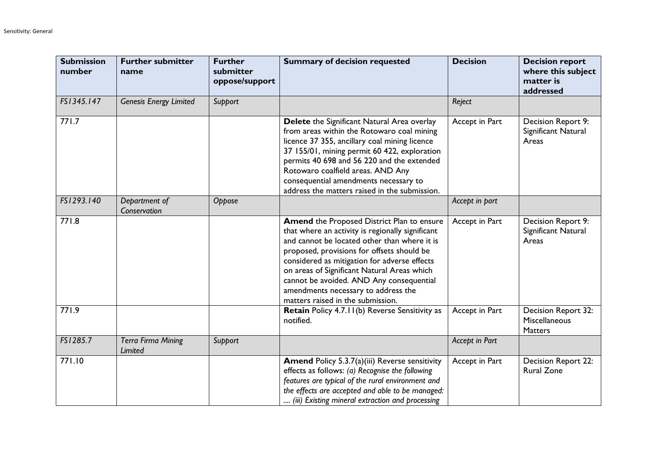| <b>Submission</b><br>number | <b>Further submitter</b><br>name     | <b>Further</b><br>submitter<br>oppose/support | <b>Summary of decision requested</b>                                                                                                                                                                                                                                                                                                                                                                                | <b>Decision</b> | <b>Decision report</b><br>where this subject<br>matter is<br>addressed |
|-----------------------------|--------------------------------------|-----------------------------------------------|---------------------------------------------------------------------------------------------------------------------------------------------------------------------------------------------------------------------------------------------------------------------------------------------------------------------------------------------------------------------------------------------------------------------|-----------------|------------------------------------------------------------------------|
| FS1345.147                  | <b>Genesis Energy Limited</b>        | Support                                       |                                                                                                                                                                                                                                                                                                                                                                                                                     | Reject          |                                                                        |
| 771.7                       |                                      |                                               | Delete the Significant Natural Area overlay<br>from areas within the Rotowaro coal mining<br>licence 37 355, ancillary coal mining licence<br>37 155/01, mining permit 60 422, exploration<br>permits 40 698 and 56 220 and the extended<br>Rotowaro coalfield areas. AND Any<br>consequential amendments necessary to<br>address the matters raised in the submission.                                             | Accept in Part  | Decision Report 9:<br>Significant Natural<br>Areas                     |
| FS1293.140                  | Department of<br>Conservation        | Oppose                                        |                                                                                                                                                                                                                                                                                                                                                                                                                     | Accept in part  |                                                                        |
| 771.8                       |                                      |                                               | Amend the Proposed District Plan to ensure<br>that where an activity is regionally significant<br>and cannot be located other than where it is<br>proposed, provisions for offsets should be<br>considered as mitigation for adverse effects<br>on areas of Significant Natural Areas which<br>cannot be avoided. AND Any consequential<br>amendments necessary to address the<br>matters raised in the submission. | Accept in Part  | Decision Report 9:<br>Significant Natural<br>Areas                     |
| 771.9                       |                                      |                                               | Retain Policy 4.7.11(b) Reverse Sensitivity as<br>notified.                                                                                                                                                                                                                                                                                                                                                         | Accept in Part  | <b>Decision Report 32:</b><br>Miscellaneous<br><b>Matters</b>          |
| FS1285.7                    | <b>Terra Firma Mining</b><br>Limited | Support                                       |                                                                                                                                                                                                                                                                                                                                                                                                                     | Accept in Part  |                                                                        |
| 771.10                      |                                      |                                               | <b>Amend Policy 5.3.7(a)(iii) Reverse sensitivity</b><br>effects as follows: (a) Recognise the following<br>features are typical of the rural environment and<br>the effects are accepted and able to be managed:<br>(iii) Existing mineral extraction and processing                                                                                                                                               | Accept in Part  | Decision Report 22:<br><b>Rural Zone</b>                               |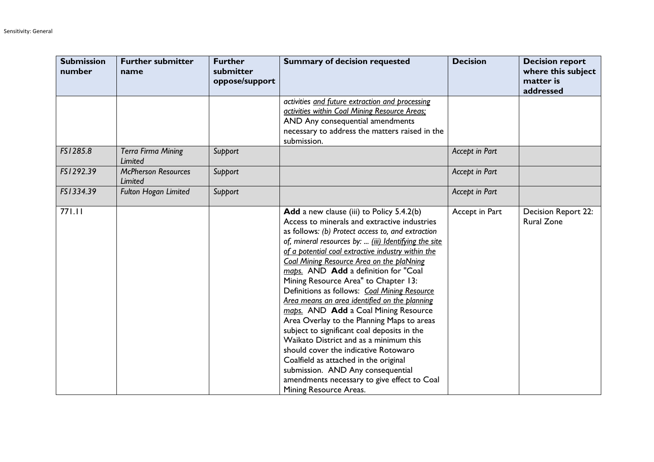| <b>Submission</b><br>number | <b>Further submitter</b><br>name      | <b>Further</b><br>submitter<br>oppose/support | <b>Summary of decision requested</b>                                                                                                                                                                                                                                                                                                                                                                                                                                                                                                                                                                                                                                                                                                                                                                                                                                             | <b>Decision</b> | <b>Decision report</b><br>where this subject<br>matter is<br>addressed |
|-----------------------------|---------------------------------------|-----------------------------------------------|----------------------------------------------------------------------------------------------------------------------------------------------------------------------------------------------------------------------------------------------------------------------------------------------------------------------------------------------------------------------------------------------------------------------------------------------------------------------------------------------------------------------------------------------------------------------------------------------------------------------------------------------------------------------------------------------------------------------------------------------------------------------------------------------------------------------------------------------------------------------------------|-----------------|------------------------------------------------------------------------|
|                             |                                       |                                               | activities and future extraction and processing<br>activities within Coal Mining Resource Areas:<br>AND Any consequential amendments<br>necessary to address the matters raised in the<br>submission.                                                                                                                                                                                                                                                                                                                                                                                                                                                                                                                                                                                                                                                                            |                 |                                                                        |
| FS1285.8                    | <b>Terra Firma Mining</b><br>Limited  | Support                                       |                                                                                                                                                                                                                                                                                                                                                                                                                                                                                                                                                                                                                                                                                                                                                                                                                                                                                  | Accept in Part  |                                                                        |
| FS1292.39                   | <b>McPherson Resources</b><br>Limited | Support                                       |                                                                                                                                                                                                                                                                                                                                                                                                                                                                                                                                                                                                                                                                                                                                                                                                                                                                                  | Accept in Part  |                                                                        |
| FS1334.39                   | Fulton Hogan Limited                  | Support                                       |                                                                                                                                                                                                                                                                                                                                                                                                                                                                                                                                                                                                                                                                                                                                                                                                                                                                                  | Accept in Part  |                                                                        |
| 771.11                      |                                       |                                               | <b>Add</b> a new clause (iii) to Policy 5.4.2(b)<br>Access to minerals and extractive industries<br>as follows: (b) Protect access to, and extraction<br>of, mineral resources by:  (iii) Identifying the site<br>of a potential coal extractive industry within the<br>Coal Mining Resource Area on the plaNning<br>maps. AND Add a definition for "Coal<br>Mining Resource Area" to Chapter 13:<br>Definitions as follows: Coal Mining Resource<br>Area means an area identified on the planning<br>maps. AND Add a Coal Mining Resource<br>Area Overlay to the Planning Maps to areas<br>subject to significant coal deposits in the<br>Waikato District and as a minimum this<br>should cover the indicative Rotowaro<br>Coalfield as attached in the original<br>submission. AND Any consequential<br>amendments necessary to give effect to Coal<br>Mining Resource Areas. | Accept in Part  | Decision Report 22:<br><b>Rural Zone</b>                               |